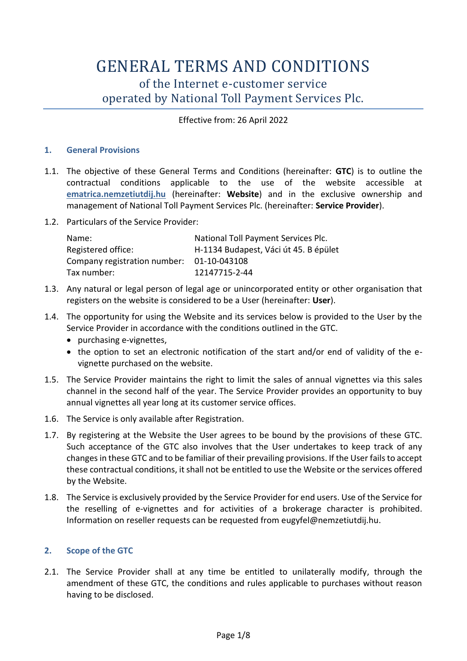# GENERAL TERMS AND CONDITIONS of the Internet e-customer service operated by National Toll Payment Services Plc.

# Effective from: 26 April 2022

## **1. General Provisions**

- 1.1. The objective of these General Terms and Conditions (hereinafter: **GTC**) is to outline the contractual conditions applicable to the use of the website accessible at **ematrica.nemzetiutdij.hu** (hereinafter: **Website**) and in the exclusive ownership and management of National Toll Payment Services Plc. (hereinafter: **Service Provider**).
- 1.2. Particulars of the Service Provider:

| Name:                                     | National Toll Payment Services Plc.   |
|-------------------------------------------|---------------------------------------|
| Registered office:                        | H-1134 Budapest, Váci út 45. B épület |
| Company registration number: 01-10-043108 |                                       |
| Tax number:                               | 12147715-2-44                         |

- 1.3. Any natural or legal person of legal age or unincorporated entity or other organisation that registers on the website is considered to be a User (hereinafter: **User**).
- 1.4. The opportunity for using the Website and its services below is provided to the User by the Service Provider in accordance with the conditions outlined in the GTC.
	- purchasing e-vignettes,
	- the option to set an electronic notification of the start and/or end of validity of the evignette purchased on the website.
- 1.5. The Service Provider maintains the right to limit the sales of annual vignettes via this sales channel in the second half of the year. The Service Provider provides an opportunity to buy annual vignettes all year long at its customer service offices.
- 1.6. The Service is only available after Registration.
- 1.7. By registering at the Website the User agrees to be bound by the provisions of these GTC. Such acceptance of the GTC also involves that the User undertakes to keep track of any changes in these GTC and to be familiar of their prevailing provisions. If the User fails to accept these contractual conditions, it shall not be entitled to use the Website or the services offered by the Website.
- 1.8. The Service is exclusively provided by the Service Provider for end users. Use of the Service for the reselling of e-vignettes and for activities of a brokerage character is prohibited. Information on reseller requests can be requested from [eugyfel@nemzetiutdij.hu.](mailto:ugyfel@nemzetiutdij.hu)

# **2. Scope of the GTC**

2.1. The Service Provider shall at any time be entitled to unilaterally modify, through the amendment of these GTC, the conditions and rules applicable to purchases without reason having to be disclosed.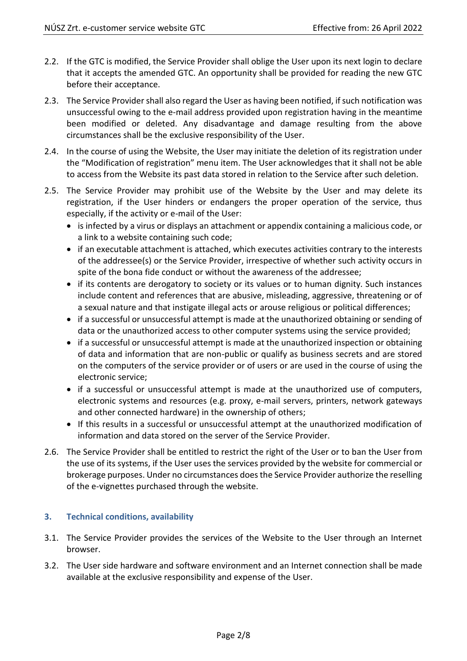- 2.2. If the GTC is modified, the Service Provider shall oblige the User upon its next login to declare that it accepts the amended GTC. An opportunity shall be provided for reading the new GTC before their acceptance.
- 2.3. The Service Provider shall also regard the User as having been notified, if such notification was unsuccessful owing to the e-mail address provided upon registration having in the meantime been modified or deleted. Any disadvantage and damage resulting from the above circumstances shall be the exclusive responsibility of the User.
- 2.4. In the course of using the Website, the User may initiate the deletion of its registration under the "Modification of registration" menu item. The User acknowledges that it shall not be able to access from the Website its past data stored in relation to the Service after such deletion.
- 2.5. The Service Provider may prohibit use of the Website by the User and may delete its registration, if the User hinders or endangers the proper operation of the service, thus especially, if the activity or e-mail of the User:
	- is infected by a virus or displays an attachment or appendix containing a malicious code, or a link to a website containing such code;
	- if an executable attachment is attached, which executes activities contrary to the interests of the addressee(s) or the Service Provider, irrespective of whether such activity occurs in spite of the bona fide conduct or without the awareness of the addressee;
	- if its contents are derogatory to society or its values or to human dignity. Such instances include content and references that are abusive, misleading, aggressive, threatening or of a sexual nature and that instigate illegal acts or arouse religious or political differences;
	- if a successful or unsuccessful attempt is made at the unauthorized obtaining or sending of data or the unauthorized access to other computer systems using the service provided;
	- if a successful or unsuccessful attempt is made at the unauthorized inspection or obtaining of data and information that are non-public or qualify as business secrets and are stored on the computers of the service provider or of users or are used in the course of using the electronic service;
	- if a successful or unsuccessful attempt is made at the unauthorized use of computers, electronic systems and resources (e.g. proxy, e-mail servers, printers, network gateways and other connected hardware) in the ownership of others;
	- If this results in a successful or unsuccessful attempt at the unauthorized modification of information and data stored on the server of the Service Provider.
- 2.6. The Service Provider shall be entitled to restrict the right of the User or to ban the User from the use of its systems, if the User uses the services provided by the website for commercial or brokerage purposes. Under no circumstances does the Service Provider authorize the reselling of the e-vignettes purchased through the website.

# **3. Technical conditions, availability**

- 3.1. The Service Provider provides the services of the Website to the User through an Internet browser.
- 3.2. The User side hardware and software environment and an Internet connection shall be made available at the exclusive responsibility and expense of the User.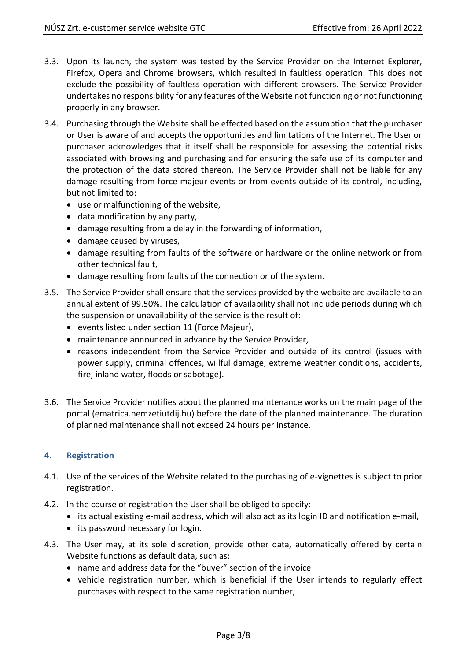- 3.3. Upon its launch, the system was tested by the Service Provider on the Internet Explorer, Firefox, Opera and Chrome browsers, which resulted in faultless operation. This does not exclude the possibility of faultless operation with different browsers. The Service Provider undertakes no responsibility for any features of the Website not functioning or not functioning properly in any browser.
- 3.4. Purchasing through the Website shall be effected based on the assumption that the purchaser or User is aware of and accepts the opportunities and limitations of the Internet. The User or purchaser acknowledges that it itself shall be responsible for assessing the potential risks associated with browsing and purchasing and for ensuring the safe use of its computer and the protection of the data stored thereon. The Service Provider shall not be liable for any damage resulting from force majeur events or from events outside of its control, including, but not limited to:
	- use or malfunctioning of the website,
	- data modification by any party,
	- damage resulting from a delay in the forwarding of information,
	- damage caused by viruses,
	- damage resulting from faults of the software or hardware or the online network or from other technical fault,
	- damage resulting from faults of the connection or of the system.
- 3.5. The Service Provider shall ensure that the services provided by the website are available to an annual extent of 99.50%. The calculation of availability shall not include periods during which the suspension or unavailability of the service is the result of:
	- events listed under section [11](#page-6-0) (Force Majeur),
	- maintenance announced in advance by the Service Provider,
	- reasons independent from the Service Provider and outside of its control (issues with power supply, criminal offences, willful damage, extreme weather conditions, accidents, fire, inland water, floods or sabotage).
- 3.6. The Service Provider notifies about the planned maintenance works on the main page of the portal (ematrica.nemzetiutdij.hu) before the date of the planned maintenance. The duration of planned maintenance shall not exceed 24 hours per instance.

## **4. Registration**

- 4.1. Use of the services of the Website related to the purchasing of e-vignettes is subject to prior registration.
- 4.2. In the course of registration the User shall be obliged to specify:
	- its actual existing e-mail address, which will also act as its login ID and notification e-mail,
	- its password necessary for login.
- 4.3. The User may, at its sole discretion, provide other data, automatically offered by certain Website functions as default data, such as:
	- name and address data for the "buyer" section of the invoice
	- vehicle registration number, which is beneficial if the User intends to regularly effect purchases with respect to the same registration number,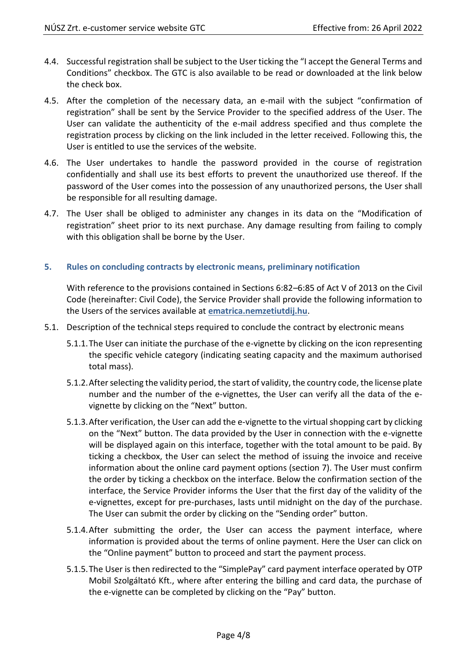- 4.4. Successful registration shall be subject to the User ticking the "I accept the General Terms and Conditions" checkbox. The GTC is also available to be read or downloaded at the link below the check box.
- 4.5. After the completion of the necessary data, an e-mail with the subject "confirmation of registration" shall be sent by the Service Provider to the specified address of the User. The User can validate the authenticity of the e-mail address specified and thus complete the registration process by clicking on the link included in the letter received. Following this, the User is entitled to use the services of the website.
- 4.6. The User undertakes to handle the password provided in the course of registration confidentially and shall use its best efforts to prevent the unauthorized use thereof. If the password of the User comes into the possession of any unauthorized persons, the User shall be responsible for all resulting damage.
- 4.7. The User shall be obliged to administer any changes in its data on the "Modification of registration" sheet prior to its next purchase. Any damage resulting from failing to comply with this obligation shall be borne by the User.

## **5. Rules on concluding contracts by electronic means, preliminary notification**

With reference to the provisions contained in Sections 6:82–6:85 of Act V of 2013 on the Civil Code (hereinafter: Civil Code), the Service Provider shall provide the following information to the Users of the services available at **ematrica.nemzetiutdij.hu**.

- 5.1. Description of the technical steps required to conclude the contract by electronic means
	- 5.1.1.The User can initiate the purchase of the e-vignette by clicking on the icon representing the specific vehicle category (indicating seating capacity and the maximum authorised total mass).
	- 5.1.2.After selecting the validity period, the start of validity, the country code, the license plate number and the number of the e-vignettes, the User can verify all the data of the evignette by clicking on the "Next" button.
	- 5.1.3.After verification, the User can add the e-vignette to the virtual shopping cart by clicking on the "Next" button. The data provided by the User in connection with the e-vignette will be displayed again on this interface, together with the total amount to be paid. By ticking a checkbox, the User can select the method of issuing the invoice and receive information about the online card payment options (section 7). The User must confirm the order by ticking a checkbox on the interface. Below the confirmation section of the interface, the Service Provider informs the User that the first day of the validity of the e-vignettes, except for pre-purchases, lasts until midnight on the day of the purchase. The User can submit the order by clicking on the "Sending order" button.
	- 5.1.4.After submitting the order, the User can access the payment interface, where information is provided about the terms of online payment. Here the User can click on the "Online payment" button to proceed and start the payment process.
	- 5.1.5.The User is then redirected to the "SimplePay" card payment interface operated by OTP Mobil Szolgáltató Kft., where after entering the billing and card data, the purchase of the e-vignette can be completed by clicking on the "Pay" button.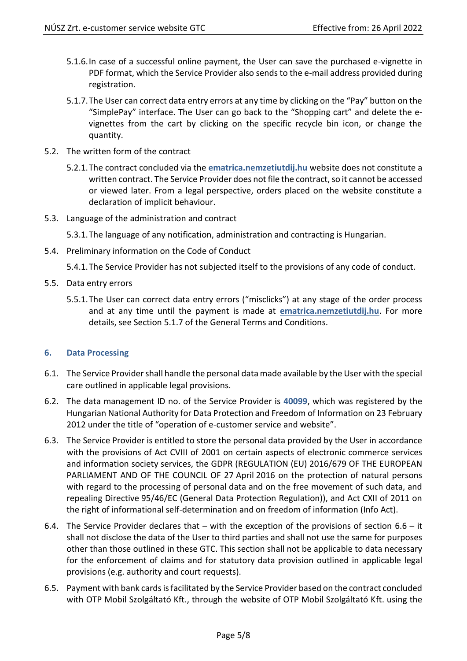- 5.1.6.In case of a successful online payment, the User can save the purchased e-vignette in PDF format, which the Service Provider also sends to the e-mail address provided during registration.
- 5.1.7.The User can correct data entry errors at any time by clicking on the "Pay" button on the "SimplePay" interface. The User can go back to the "Shopping cart" and delete the evignettes from the cart by clicking on the specific recycle bin icon, or change the quantity.
- 5.2. The written form of the contract
	- 5.2.1.The contract concluded via the **ematrica.nemzetiutdij.hu** website does not constitute a written contract. The Service Provider does not file the contract, so it cannot be accessed or viewed later. From a legal perspective, orders placed on the website constitute a declaration of implicit behaviour.
- 5.3. Language of the administration and contract

5.3.1.The language of any notification, administration and contracting is Hungarian.

5.4. Preliminary information on the Code of Conduct

5.4.1.The Service Provider has not subjected itself to the provisions of any code of conduct.

- 5.5. Data entry errors
	- 5.5.1.The User can correct data entry errors ("misclicks") at any stage of the order process and at any time until the payment is made at **ematrica.nemzetiutdij.hu**. For more details, see Section 5.1.7 of the General Terms and Conditions.

## **6. Data Processing**

- 6.1. The Service Provider shall handle the personal data made available by the User with the special care outlined in applicable legal provisions.
- 6.2. The data management ID no. of the Service Provider is **40099**, which was registered by the Hungarian National Authority for Data Protection and Freedom of Information on 23 February 2012 under the title of "operation of e-customer service and website".
- 6.3. The Service Provider is entitled to store the personal data provided by the User in accordance with the provisions of Act CVIII of 2001 on certain aspects of electronic commerce services and information society services, the GDPR (REGULATION (EU) 2016/679 OF THE EUROPEAN PARLIAMENT AND OF THE COUNCIL OF 27 April 2016 on the protection of natural persons with regard to the processing of personal data and on the free movement of such data, and repealing Directive 95/46/EC (General Data Protection Regulation)), and Act CXII of 2011 on the right of informational self-determination and on freedom of information (Info Act).
- 6.4. The Service Provider declares that  $-$  with the exception of the provisions of section [6.6](#page-5-0)  $-$  it shall not disclose the data of the User to third parties and shall not use the same for purposes other than those outlined in these GTC. This section shall not be applicable to data necessary for the enforcement of claims and for statutory data provision outlined in applicable legal provisions (e.g. authority and court requests).
- 6.5. Payment with bank cards is facilitated by the Service Provider based on the contract concluded with OTP Mobil Szolgáltató Kft., through the website of OTP Mobil Szolgáltató Kft. using the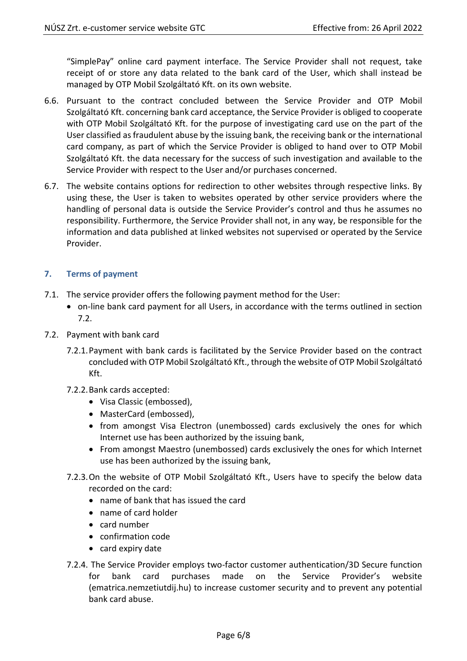"SimplePay" online card payment interface. The Service Provider shall not request, take receipt of or store any data related to the bank card of the User, which shall instead be managed by OTP Mobil Szolgáltató Kft. on its own website.

- <span id="page-5-0"></span>6.6. Pursuant to the contract concluded between the Service Provider and OTP Mobil Szolgáltató Kft. concerning bank card acceptance, the Service Provider is obliged to cooperate with OTP Mobil Szolgáltató Kft. for the purpose of investigating card use on the part of the User classified as fraudulent abuse by the issuing bank, the receiving bank or the international card company, as part of which the Service Provider is obliged to hand over to OTP Mobil Szolgáltató Kft. the data necessary for the success of such investigation and available to the Service Provider with respect to the User and/or purchases concerned.
- 6.7. The website contains options for redirection to other websites through respective links. By using these, the User is taken to websites operated by other service providers where the handling of personal data is outside the Service Provider's control and thus he assumes no responsibility. Furthermore, the Service Provider shall not, in any way, be responsible for the information and data published at linked websites not supervised or operated by the Service Provider.

# **7. Terms of payment**

- 7.1. The service provider offers the following payment method for the User:
	- on-line bank card payment for all Users, in accordance with the terms outlined in section [7.2.](#page-5-1)
- <span id="page-5-1"></span>7.2. Payment with bank card
	- 7.2.1.Payment with bank cards is facilitated by the Service Provider based on the contract concluded with OTP Mobil Szolgáltató Kft., through the website of OTP Mobil Szolgáltató Kft.
	- 7.2.2.Bank cards accepted:
		- Visa Classic (embossed),
		- MasterCard (embossed),
		- from amongst Visa Electron (unembossed) cards exclusively the ones for which Internet use has been authorized by the issuing bank,
		- From amongst Maestro (unembossed) cards exclusively the ones for which Internet use has been authorized by the issuing bank,
	- 7.2.3.On the website of OTP Mobil Szolgáltató Kft., Users have to specify the below data recorded on the card:
		- name of bank that has issued the card
		- name of card holder
		- card number
		- confirmation code
		- card expiry date
	- 7.2.4. The Service Provider employs two-factor customer authentication/3D Secure function for bank card purchases made on the Service Provider's website (ematrica.nemzetiutdij.hu) to increase customer security and to prevent any potential bank card abuse.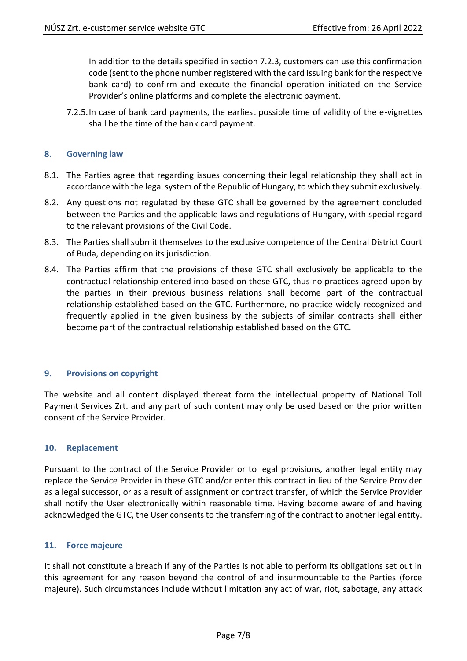In addition to the details specified in section 7.2.3, customers can use this confirmation code (sent to the phone number registered with the card issuing bank for the respective bank card) to confirm and execute the financial operation initiated on the Service Provider's online platforms and complete the electronic payment.

7.2.5.In case of bank card payments, the earliest possible time of validity of the e-vignettes shall be the time of the bank card payment.

#### **8. Governing law**

- 8.1. The Parties agree that regarding issues concerning their legal relationship they shall act in accordance with the legal system of the Republic of Hungary, to which they submit exclusively.
- 8.2. Any questions not regulated by these GTC shall be governed by the agreement concluded between the Parties and the applicable laws and regulations of Hungary, with special regard to the relevant provisions of the Civil Code.
- 8.3. The Parties shall submit themselves to the exclusive competence of the Central District Court of Buda, depending on its jurisdiction.
- 8.4. The Parties affirm that the provisions of these GTC shall exclusively be applicable to the contractual relationship entered into based on these GTC, thus no practices agreed upon by the parties in their previous business relations shall become part of the contractual relationship established based on the GTC. Furthermore, no practice widely recognized and frequently applied in the given business by the subjects of similar contracts shall either become part of the contractual relationship established based on the GTC.

#### **9. Provisions on copyright**

The website and all content displayed thereat form the intellectual property of National Toll Payment Services Zrt. and any part of such content may only be used based on the prior written consent of the Service Provider.

#### **10. Replacement**

Pursuant to the contract of the Service Provider or to legal provisions, another legal entity may replace the Service Provider in these GTC and/or enter this contract in lieu of the Service Provider as a legal successor, or as a result of assignment or contract transfer, of which the Service Provider shall notify the User electronically within reasonable time. Having become aware of and having acknowledged the GTC, the User consents to the transferring of the contract to another legal entity.

#### <span id="page-6-0"></span>**11. Force majeure**

It shall not constitute a breach if any of the Parties is not able to perform its obligations set out in this agreement for any reason beyond the control of and insurmountable to the Parties (force majeure). Such circumstances include without limitation any act of war, riot, sabotage, any attack